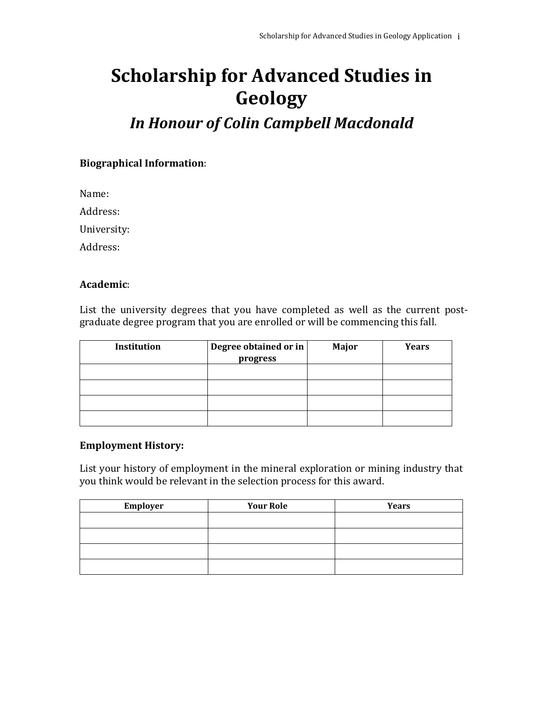# **Scholarship for Advanced Studies in Geology**

# *In Honour of Colin Campbell Macdonald*

### **Biographical Information**:

Name:

Address:

University:

Address:

#### **Academic**:

List the university degrees that you have completed as well as the current postgraduate degree program that you are enrolled or will be commencing this fall.

| Institution | Degree obtained or in | Major | <b>Years</b> |
|-------------|-----------------------|-------|--------------|
|             | progress              |       |              |
|             |                       |       |              |
|             |                       |       |              |
|             |                       |       |              |
|             |                       |       |              |
|             |                       |       |              |

#### **Employment History:**

List your history of employment in the mineral exploration or mining industry that you think would be relevant in the selection process for this award.

| Employer | <b>Your Role</b> | <b>Years</b> |
|----------|------------------|--------------|
|          |                  |              |
|          |                  |              |
|          |                  |              |
|          |                  |              |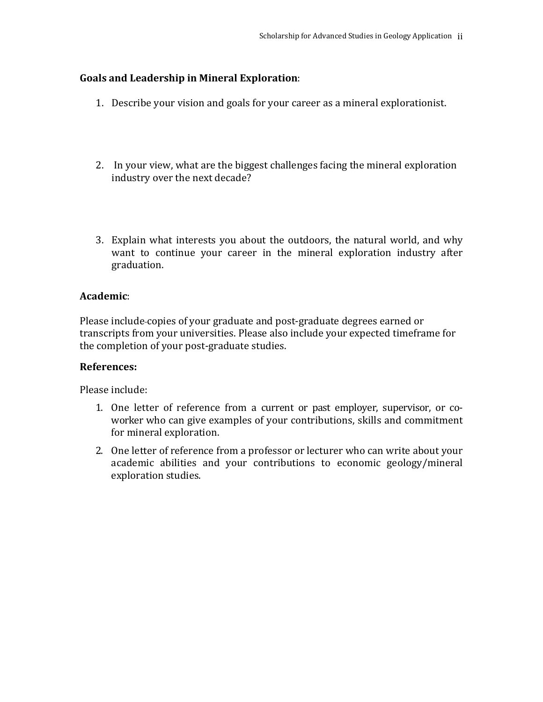# **Goals and Leadership in Mineral Exploration**:

- 1. Describe your vision and goals for your career as a mineral explorationist.
- 2. In your view, what are the biggest challenges facing the mineral exploration industry over the next decade?
- 3. Explain what interests you about the outdoors, the natural world, and why want to continue your career in the mineral exploration industry after graduation.

# **Academic**:

Please include copies of your graduate and post-graduate degrees earned or transcripts from your universities. Please also include your expected timeframe for the completion of your post-graduate studies.

# **References:**

Please include:

- 1. One letter of reference from a current or past employer, supervisor, or coworker who can give examples of your contributions, skills and commitment for mineral exploration.
- 2. One letter of reference from a professor or lecturer who can write about your academic abilities and your contributions to economic geology/mineral exploration studies.